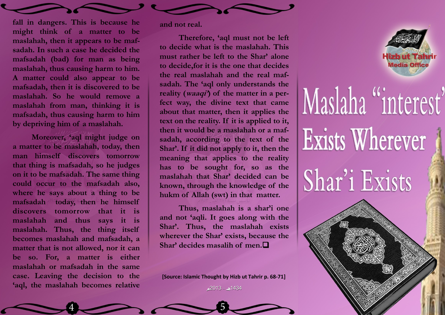

**fall in dangers. This is because he might think of a matter to be maslahah, then it appears to be mafsadah. In such a case he decided the mafsadah (bad) for man as being maslahah, thus causing harm to him. A matter could also appear to be mafsadah, then it is discovered to be maslahah. So he would remove a maslahah from man, thinking it is mafsadah, thus causing harm to him by depriving him of a maslahah.** 

**Moreover, "aql might judge on a matter to be maslahah, today, then man himself discovers tomorrow that thing is mafsadah, so he judges on it to be mafsadah. The same thing could occur to the mafsadah also, where he says about a thing to be**  mafsadah <sup>sec</sup>today, then he himself **discovers tomorrow that it is maslahah and thus says it is maslahah. Thus, the thing itself becomes maslahah and mafsadah, a matter that is not allowed, nor it can be so. For, a matter is either maslahah or mafsadah in the same case. Leaving the decision to the "aql, the maslahah becomes relative**  **and not real.** 

**Therefore, "aql must not be left to decide what is the maslahah. This must rather be left to the Shar" alone to decide,for it is the one that decides the real maslahah and the real mafsadah. The "aql only understands the reality (waaqi") of the matter in a perfect way, the divine text that came about that matter, then it applies the text on the reality. If it is applied to it, then it would be a maslahah or a mafsadah, according to the text of the Shar". If it did not apply to it, then the meaning that applies to the reality has to be sought for, so as the maslahah that Shar" decided can be known, through the knowledge of the hukm of Allah (swt) in that matter.** 

**Thus, maslahah is a shar"i one and not "aqli. It goes along with the Shar". Thus, the maslahah exists wherever the Shar" exists, because the**  Shar' decides masalih of men.<sup>1</sup>

2013 1434 **[Source: Islamic Thought by Hizb ut Tahrir p. 68-71]**

 $2013 - 1434$